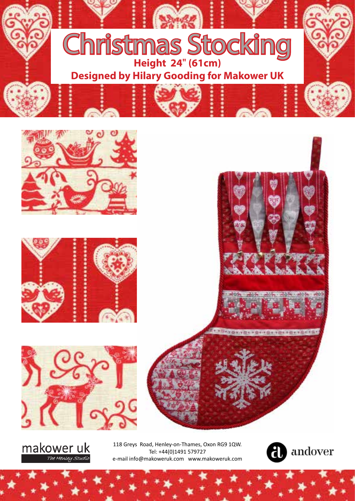



makower uk The Henley Studio

118 Greys Road, Henley-on-Thames, Oxon RG9 1QW. Tel: +44(0)1491 579727 e-mail info@makoweruk.com www.makoweruk.com

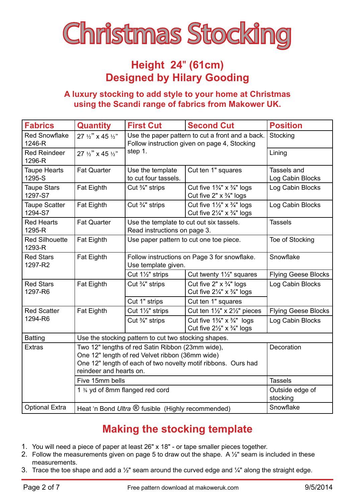

## **Height 24**" **(61cm) Designed by Hilary Gooding**

#### **A luxury stocking to add style to your home at Christmas using the Scandi range of fabrics from Makower UK.**

| <b>Fabrics</b>                  | <b>Quantity</b>                                                                                                                                                                                 | <b>First Cut</b>                                                                                            | <b>Second Cut</b>                                                                                    | <b>Position</b>                 |
|---------------------------------|-------------------------------------------------------------------------------------------------------------------------------------------------------------------------------------------------|-------------------------------------------------------------------------------------------------------------|------------------------------------------------------------------------------------------------------|---------------------------------|
| <b>Red Snowflake</b><br>1246-R  | 27 $\frac{1}{2}$ " x 45 $\frac{1}{2}$ "                                                                                                                                                         | Use the paper pattern to cut a front and a back.<br>Follow instruction given on page 4, Stocking<br>step 1. |                                                                                                      | Stocking                        |
| <b>Red Reindeer</b><br>1296-R   | 27 $\frac{1}{2}$ " x 45 $\frac{1}{2}$ "                                                                                                                                                         |                                                                                                             |                                                                                                      | Lining                          |
| <b>Taupe Hearts</b><br>1295-S   | <b>Fat Quarter</b>                                                                                                                                                                              | Use the template<br>to cut four tassels.                                                                    | Cut ten 1" squares                                                                                   | Tassels and<br>Log Cabin Blocks |
| <b>Taupe Stars</b><br>1297-S7   | Fat Eighth                                                                                                                                                                                      | Cut $\frac{3}{4}$ " strips                                                                                  | Cut five $1\frac{3}{4}$ " x $\frac{3}{4}$ " logs<br>Cut five 2" $\times$ $\frac{3}{4}$ " logs        | Log Cabin Blocks                |
| <b>Taupe Scatter</b><br>1294-S7 | Fat Eighth                                                                                                                                                                                      | Cut 3/4" strips                                                                                             | Cut five $1\frac{1}{2}$ " x $\frac{3}{4}$ " logs<br>Cut five $2\frac{1}{4}$ " x $\frac{3}{4}$ " logs | Log Cabin Blocks                |
| <b>Red Hearts</b><br>1295-R     | <b>Fat Quarter</b>                                                                                                                                                                              | Use the template to cut out six tassels.<br>Read instructions on page 3.                                    |                                                                                                      | <b>Tassels</b>                  |
| <b>Red Silhouette</b><br>1293-R | Fat Eighth                                                                                                                                                                                      | Use paper pattern to cut one toe piece.                                                                     |                                                                                                      | Toe of Stocking                 |
| <b>Red Stars</b><br>1297-R2     | Fat Eighth                                                                                                                                                                                      | Follow instructions on Page 3 for snowflake.<br>Use template given.                                         |                                                                                                      | Snowflake                       |
|                                 |                                                                                                                                                                                                 | Cut 1½" strips                                                                                              | Cut twenty 11/2" squares                                                                             | <b>Flying Geese Blocks</b>      |
| <b>Red Stars</b><br>1297-R6     | Fat Eighth                                                                                                                                                                                      | Cut 3/4" strips                                                                                             | Cut five $2" \times \frac{3}{4"}$ logs<br>Cut five $2\frac{1}{4}$ " x $\frac{3}{4}$ " logs           | Log Cabin Blocks                |
|                                 |                                                                                                                                                                                                 | Cut 1" strips                                                                                               | Cut ten 1" squares                                                                                   |                                 |
| <b>Red Scatter</b><br>1294-R6   | Fat Eighth                                                                                                                                                                                      | Cut 11/2" strips                                                                                            | Cut ten 11/2" x 21/2" pieces                                                                         | <b>Flying Geese Blocks</b>      |
|                                 |                                                                                                                                                                                                 | Cut 3/4" strips                                                                                             | Cut five $1\frac{3}{4}$ " x $\frac{3}{4}$ " logs<br>Cut five $2\frac{1}{2}$ " x $\frac{3}{4}$ " logs | Log Cabin Blocks                |
| <b>Batting</b>                  | Use the stocking pattern to cut two stocking shapes.                                                                                                                                            |                                                                                                             |                                                                                                      |                                 |
| <b>Extras</b>                   | Two 12" lengths of red Satin Ribbon (23mm wide),<br>One 12" length of red Velvet ribbon (36mm wide)<br>One 12" length of each of two novelty motif ribbons. Ours had<br>reindeer and hearts on. |                                                                                                             |                                                                                                      | Decoration                      |
|                                 | Five 15mm bells                                                                                                                                                                                 |                                                                                                             |                                                                                                      | <b>Tassels</b>                  |
|                                 | 1 3/4 yd of 8mm flanged red cord                                                                                                                                                                |                                                                                                             |                                                                                                      | Outside edge of<br>stocking     |
| <b>Optional Extra</b>           | Heat 'n Bond Ultra ® fusible (Highly recommended)                                                                                                                                               |                                                                                                             |                                                                                                      | Snowflake                       |

# **Making the stocking template**

- 1. You will need a piece of paper at least 26" x 18" or tape smaller pieces together.
- 2. Follow the measurements given on page 5 to draw out the shape. A  $\frac{1}{2}$ " seam is included in these measurements.
- 3. Trace the toe shape and add a  $\frac{1}{2}$ " seam around the curved edge and  $\frac{1}{4}$ " along the straight edge.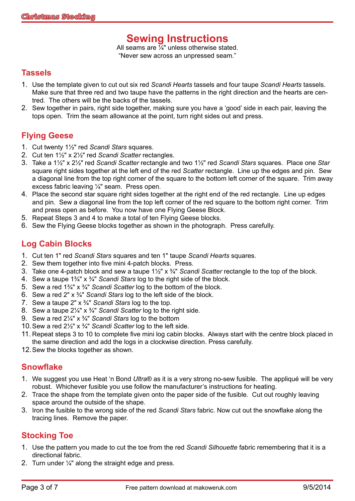## **Sewing Instructions**

All seams are  $\frac{7}{4}$ " unless otherwise stated. "Never sew across an unpressed seam."

#### **Tassels**

- 1. Use the template given to cut out six red *Scandi Hearts* tassels and four taupe *Scandi Hearts* tassels. Make sure that three red and two taupe have the patterns in the right direction and the hearts are centred. The others will be the backs of the tassels.
- 2. Sew together in pairs, right side together, making sure you have a 'good' side in each pair, leaving the tops open. Trim the seam allowance at the point, turn right sides out and press.

## **Flying Geese**

- 1. Cut twenty 1½" red *Scandi Stars* squares.
- 2. Cut ten 1½" x 2½" red *Scandi Scatter* rectangles.
- 3. Take a 1½" x 2½" red *Scandi Scatter* rectangle and two 1½" red *Scandi Stars* squares. Place one *Star* square right sides together at the left end of the red *Scatter* rectangle. Line up the edges and pin. Sew a diagonal line from the top right corner of the square to the bottom left corner of the square. Trim away excess fabric leaving ¼" seam. Press open.
- 4. Place the second star square right sides together at the right end of the red rectangle. Line up edges and pin. Sew a diagonal line from the top left corner of the red square to the bottom right corner. Trim and press open as before. You now have one Flying Geese Block.
- 5. Repeat Steps 3 and 4 to make a total of ten Flying Geese blocks.
- 6. Sew the Flying Geese blocks together as shown in the photograph. Press carefully.

#### **Log Cabin Blocks**

- 1. Cut ten 1" red *Scandi Stars* squares and ten 1" taupe *Scandi Hearts* squares.
- 2. Sew them together into five mini 4-patch blocks. Press.
- 3. Take one 4-patch block and sew a taupe 1½" x ¾" *Scandi Scatter* rectangle to the top of the block.
- 4. Sew a taupe 1¾" x ¾" *Scandi Stars* log to the right side of the block.
- 5. Sew a red 1¾" x ¾" *Scandi Scatter* log to the bottom of the block.
- 6. Sew a red 2" x ¾" *Scandi Stars* log to the left side of the block.
- 7. Sew a taupe 2" x ¾" *Scandi Stars* log to the top.
- 8. Sew a taupe 2¼" x ¾" *Scandi Scatter* log to the right side.
- 9. Sew a red 2¼" x ¾" *Scandi Stars* log to the bottom
- 10.Sew a red 2½" x ¾" *Scandi Scatter* log to the left side.
- 11. Repeat steps 3 to 10 to complete five mini log cabin blocks. Always start with the centre block placed in the same direction and add the logs in a clockwise direction. Press carefully.
- 12.Sew the blocks together as shown.

#### **Snowflake**

- 1. We suggest you use Heat 'n Bond *Ultra*® as it is a very strong no-sew fusible. The appliqué will be very robust. Whichever fusible you use follow the manufacturer's instructions for heating.
- 2. Trace the shape from the template given onto the paper side of the fusible. Cut out roughly leaving space around the outside of the shape.
- 3. Iron the fusible to the wrong side of the red *Scandi Stars* fabric. Now cut out the snowflake along the tracing lines. Remove the paper.

## **Stocking Toe**

- 1. Use the pattern you made to cut the toe from the red *Scandi Silhouette* fabric remembering that it is a directional fabric.
- 2. Turn under ¼" along the straight edge and press.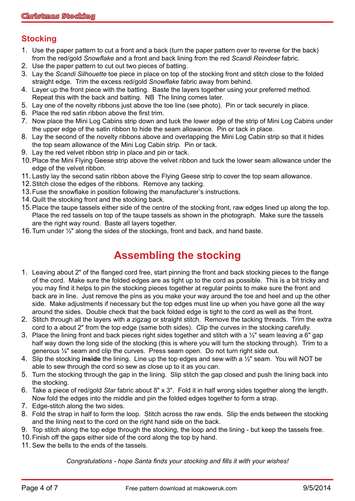## **Stocking**

- 1. Use the paper pattern to cut a front and a back (turn the paper pattern over to reverse for the back) from the red/gold *Snowflake* and a front and back lining from the red *Scandi Reindeer* fabric.
- 2. Use the paper pattern to cut out two pieces of batting.
- 3. Lay the *Scandi Silhouette* toe piece in place on top of the stocking front and stitch close to the folded straight edge. Trim the excess red/gold *Snowflake* fabric away from behind.
- 4. Layer up the front piece with the batting. Baste the layers together using your preferred method. Repeat this with the back and batting. NB The lining comes later.
- 5. Lay one of the novelty ribbons just above the toe line (see photo). Pin or tack securely in place.
- 6. Place the red satin ribbon above the first trim.
- 7. Now place the Mini Log Cabins strip down and tuck the lower edge of the strip of Mini Log Cabins under the upper edge of the satin ribbon to hide the seam allowance. Pin or tack in place.
- 8. Lay the second of the novelty ribbons above and overlapping the Mini Log Cabin strip so that it hides the top seam allowance of the Mini Log Cabin strip. Pin or tack.
- 9. Lay the red velvet ribbon strip in place and pin or tack.
- 10.Place the Mini Flying Geese strip above the velvet ribbon and tuck the lower seam allowance under the edge of the velvet ribbon.
- 11. Lastly lay the second satin ribbon above the Flying Geese strip to cover the top seam allowance.
- 12.Stitch close the edges of the ribbons. Remove any tacking.
- 13.Fuse the snowflake in position following the manufacturer's instructions.
- 14.Quilt the stocking front and the stocking back.
- 15.Place the taupe tassels either side of the centre of the stocking front, raw edges lined up along the top. Place the red tassels on top of the taupe tassels as shown in the photograph. Make sure the tassels are the right way round. Baste all layers together.
- 16.Turn under ½" along the sides of the stockings, front and back, and hand baste.

# **Assembling the stocking**

- 1. Leaving about 2" of the flanged cord free, start pinning the front and back stocking pieces to the flange of the cord. Make sure the folded edges are as tight up to the cord as possible. This is a bit tricky and you may find it helps to pin the stocking pieces together at regular points to make sure the front and back are in line. Just remove the pins as you make your way around the toe and heel and up the other side. Make adjustments if necessary but the top edges must line up when you have gone all the way around the sides. Double check that the back folded edge is tight to the cord as well as the front.
- 2. Stitch through all the layers with a zigzag or straight stitch. Remove the tacking threads. Trim the extra cord to a about 2" from the top edge (same both sides). Clip the curves in the stocking carefully.
- 3. Place the lining front and back pieces right sides together and stitch with a  $\frac{1}{2}$ " seam leaving a 6" gap half way down the long side of the stocking (this is where you will turn the stocking through). Trim to a generous ¼" seam and clip the curves. Press seam open. Do not turn right side out.
- 4. Slip the stocking **inside** the lining. Line up the top edges and sew with a ½" seam. You will NOT be able to sew through the cord so sew as close up to it as you can.
- 5. Turn the stocking through the gap in the lining. Slip stitch the gap closed and push the lining back into the stocking.
- 6. Take a piece of red/gold *Star* fabric about 8" x 3". Fold it in half wrong sides together along the length. Now fold the edges into the middle and pin the folded edges together to form a strap.
- 7. Edge-stitch along the two sides.
- 8. Fold the strap in half to form the loop. Stitch across the raw ends. Slip the ends between the stocking and the lining next to the cord on the right hand side on the back.
- 9. Top stitch along the top edge through the stocking, the loop and the lining but keep the tassels free.
- 10.Finish off the gaps either side of the cord along the top by hand.
- 11. Sew the bells to the ends of the tassels.

*Congratulations - hope Santa finds your stocking and fills it with your wishes!*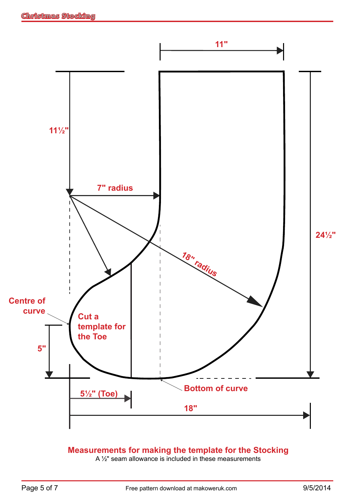

## **Measurements for making the template for the Stocking**

A ½" seam allowance is included in these measurements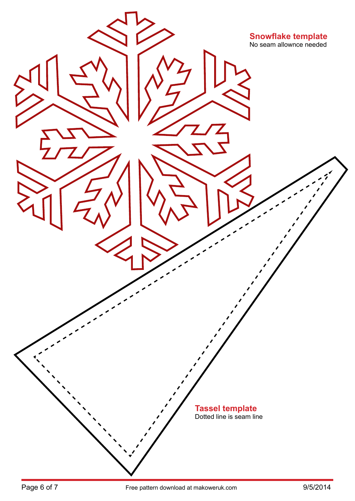